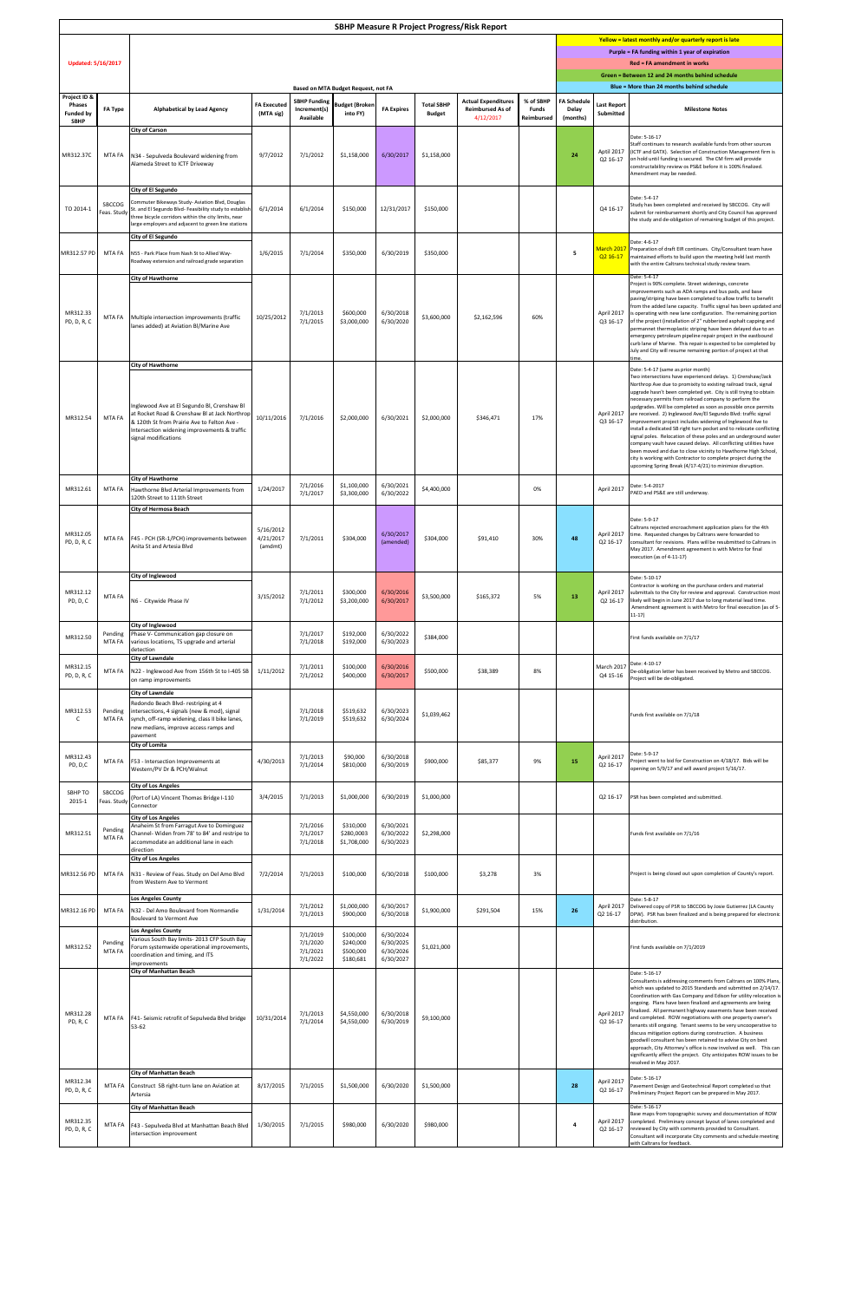| <b>SBHP Measure R Project Progress/Risk Report</b>               |                              |                                                                                                                                                                                                                                                                                     |                                   |                                                  |                                                  |                                                  |                                    |                                                                    |                                         |                                                                                                            |                                                                                                |                                                                                                                                                                                                                                                                                                                                                                                                                                                                                                                                                                                                                                                                                                                                                                                                                                                                                                                       |  |  |
|------------------------------------------------------------------|------------------------------|-------------------------------------------------------------------------------------------------------------------------------------------------------------------------------------------------------------------------------------------------------------------------------------|-----------------------------------|--------------------------------------------------|--------------------------------------------------|--------------------------------------------------|------------------------------------|--------------------------------------------------------------------|-----------------------------------------|------------------------------------------------------------------------------------------------------------|------------------------------------------------------------------------------------------------|-----------------------------------------------------------------------------------------------------------------------------------------------------------------------------------------------------------------------------------------------------------------------------------------------------------------------------------------------------------------------------------------------------------------------------------------------------------------------------------------------------------------------------------------------------------------------------------------------------------------------------------------------------------------------------------------------------------------------------------------------------------------------------------------------------------------------------------------------------------------------------------------------------------------------|--|--|
|                                                                  |                              |                                                                                                                                                                                                                                                                                     |                                   |                                                  |                                                  |                                                  |                                    |                                                                    |                                         | Yellow = latest monthly and/or quarterly report is late<br>Purple = FA funding within 1 year of expiration |                                                                                                |                                                                                                                                                                                                                                                                                                                                                                                                                                                                                                                                                                                                                                                                                                                                                                                                                                                                                                                       |  |  |
| <b>Updated: 5/16/2017</b>                                        |                              |                                                                                                                                                                                                                                                                                     |                                   |                                                  |                                                  |                                                  |                                    |                                                                    |                                         |                                                                                                            | <b>Red = FA amendment in works</b>                                                             |                                                                                                                                                                                                                                                                                                                                                                                                                                                                                                                                                                                                                                                                                                                                                                                                                                                                                                                       |  |  |
|                                                                  |                              | <b>Based on MTA Budget Request, not FA</b>                                                                                                                                                                                                                                          |                                   |                                                  |                                                  |                                                  |                                    |                                                                    |                                         |                                                                                                            | Green = Between 12 and 24 months behind schedule<br>Blue = More than 24 months behind schedule |                                                                                                                                                                                                                                                                                                                                                                                                                                                                                                                                                                                                                                                                                                                                                                                                                                                                                                                       |  |  |
| Project ID &<br><b>Phases</b><br><b>Funded by</b><br><b>SBHP</b> | <b>FA Type</b>               | <b>Alphabetical by Lead Agency</b>                                                                                                                                                                                                                                                  | <b>FA Executed</b><br>(MTA sig)   | <b>SBHP Funding</b><br>Increment(s)<br>Available | <b>Budget (Broken</b><br>into FY)                | <b>FA Expires</b>                                | <b>Total SBHP</b><br><b>Budget</b> | <b>Actual Expenditures</b><br><b>Reimbursed As of</b><br>4/12/2017 | % of SBHP<br><b>Funds</b><br>Reimbursed | <b>FA Schedule</b><br><b>Delay</b><br>(months)                                                             | <b>Last Report</b><br><b>Submitted</b>                                                         | <b>Milestone Notes</b>                                                                                                                                                                                                                                                                                                                                                                                                                                                                                                                                                                                                                                                                                                                                                                                                                                                                                                |  |  |
| MR312.37C                                                        | MTA FA                       | <b>City of Carson</b><br>N34 - Sepulveda Boulevard widening from<br>Alameda Street to ICTF Driveway                                                                                                                                                                                 | 9/7/2012                          | 7/1/2012                                         | \$1,158,000                                      | 6/30/2017                                        | \$1,158,000                        |                                                                    |                                         | 24                                                                                                         | Q2 16-17                                                                                       | Date: 5-16-17<br>Staff continues to research available funds from other sources<br>Aptil 2017   (ICTF and GATX). Selection of Construction Management firm is<br>on hold until funding is secured. The CM firm will provide<br>constructability review os PS&E before it is 100% finalized.<br>Amendment may be needed.                                                                                                                                                                                                                                                                                                                                                                                                                                                                                                                                                                                               |  |  |
| TO 2014-1                                                        | <b>SBCCOG</b><br>Feas. Study | <b>City of El Segundo</b><br>Commuter Bikeways Study- Aviation Blvd, Douglas<br>St. and El Segundo Blvd- Feasibility study to establish<br>three bicycle corridors within the city limits, near<br>large employers and adjacent to green line stations<br><b>City of El Segundo</b> | 6/1/2014                          | 6/1/2014                                         | \$150,000                                        | 12/31/2017                                       | \$150,000                          |                                                                    |                                         |                                                                                                            | Q4 16-17                                                                                       | Date: 5-4-17<br>Study has been completed and received by SBCCOG. City will<br>submit for reimbursement shortly and City Council has approved<br>the study and de-obligation of remaining budget of this project.                                                                                                                                                                                                                                                                                                                                                                                                                                                                                                                                                                                                                                                                                                      |  |  |
| MR312.57 PD                                                      | MTA FA                       | N55 - Park Place from Nash St to Allied Way-<br>Roadway extension and railroad grade separation                                                                                                                                                                                     | 1/6/2015                          | 7/1/2014                                         | \$350,000                                        | 6/30/2019                                        | \$350,000                          |                                                                    |                                         | 5                                                                                                          | Q2 16-17                                                                                       | Date: 4-6-17<br>March 2017 Preparation of draft EIR continues. City/Consultant team have<br>maintained efforts to build upon the meeting held last month<br>with the entire Caltrans technical study review team.                                                                                                                                                                                                                                                                                                                                                                                                                                                                                                                                                                                                                                                                                                     |  |  |
| MR312.33<br>PD, D, R, C                                          | MTA FA                       | <b>City of Hawthorne</b><br>Multiple intersection improvements (traffic<br>lanes added) at Aviation Bl/Marine Ave                                                                                                                                                                   | 10/25/2012                        | 7/1/2013<br>7/1/2015                             | \$600,000<br>\$3,000,000                         | 6/30/2018<br>6/30/2020                           | \$3,600,000                        | \$2,162,596                                                        | 60%                                     |                                                                                                            | April 2017<br>Q3 16-17                                                                         | Date: 5-4-17<br>Project is 90% complete. Street widenings, concrete<br>improvements such as ADA ramps and bus pads, and base<br>paving/striping have been completed to allow traffic to benefit<br>from the added lane capacity. Traffic signal has been updated and<br>is operating with new lane configuration. The remaining portion<br>of the project (installation of 2" rubberized asphalt capping and<br>permannet thermoplastic striping have been delayed due to an<br>emergency petroleum pipeline repair project in the eastbound<br>curb lane of Marine. This repair is expected to be completed by<br>July and City will resume remaining portion of project at that<br>time.                                                                                                                                                                                                                            |  |  |
| MR312.54                                                         | MTA FA                       | <b>City of Hawthorne</b><br>Inglewood Ave at El Segundo Bl, Crenshaw Bl<br>at Rocket Road & Crenshaw BI at Jack Northrop<br>& 120th St from Prairie Ave to Felton Ave -<br>Intersection widening improvements & traffic<br>signal modifications                                     | 10/11/2016                        | 7/1/2016                                         | \$2,000,000                                      | 6/30/2021                                        | \$2,000,000                        | \$346,471                                                          | 17%                                     |                                                                                                            | April 2017<br>Q3 16-17                                                                         | Date: 5-4-17 (same as prior month)<br>Two intersections have experienced delays. 1) Crenshaw/Jack<br>Northrop Ave due to promixity to existing railroad track, signal<br>upgrade hasn't been completed yet. City is still trying to obtain<br>necessary permits from railroad company to perform the<br>updgrades. Will be completed as soon as possible once permits<br>are received. 2) Inglewood Ave/El Segundo Blvd: traffic signal<br>improvement project includes widening of Inglewood Ave to<br>install a dedicated SB right turn pocket and to relocate conflicting<br>signal poles. Relocation of these poles and an underground water<br>company vault have caused delays. All conflicting utilities have<br>been moved and due to close vicinity to Hawthorne High School,<br>city is working with Contractor to complete project during the<br>upcoming Spring Break (4/17-4/21) to minimize disruption. |  |  |
| MR312.61                                                         | MTA FA                       | <b>City of Hawthorne</b><br>Hawthorne Blvd Arterial Improvements from<br>120th Street to 111th Street<br><b>City of Hermosa Beach</b>                                                                                                                                               | 1/24/2017                         | 7/1/2016<br>7/1/2017                             | \$1,100,000<br>\$3,300,000                       | 6/30/2021<br>6/30/2022                           | \$4,400,000                        |                                                                    | 0%                                      |                                                                                                            | April 2017                                                                                     | Date: 5-4-2017<br>PAED and PS&E are still underway.                                                                                                                                                                                                                                                                                                                                                                                                                                                                                                                                                                                                                                                                                                                                                                                                                                                                   |  |  |
| MR312.05<br>PD, D, R, C                                          | MTA FA                       | F45 - PCH (SR-1/PCH) improvements between<br>Anita St and Artesia Blvd                                                                                                                                                                                                              | 5/16/2012<br>4/21/2017<br>(amdmt) | 7/1/2011                                         | \$304,000                                        | 6/30/2017<br>(amended)                           | \$304,000                          | \$91,410                                                           | 30%                                     | 48                                                                                                         | Q2 16-17                                                                                       | Date: 5-9-17<br>Caltrans rejected encroachment application plans for the 4th<br>April 2017   time. Requested changes by Caltrans were forwarded to<br>consultant for revisions. Plans will be resubmitted to Caltrans in<br>May 2017. Amendment agreement is with Metro for final<br>execution (as of 4-11-17)                                                                                                                                                                                                                                                                                                                                                                                                                                                                                                                                                                                                        |  |  |
| MR312.12<br>PD, D, C                                             | MTA FA                       | <b>City of Inglewood</b><br>N6 - Citywide Phase IV                                                                                                                                                                                                                                  | 3/15/2012                         | 7/1/2011<br>7/1/2012                             | \$300,000<br>\$3,200,000                         | 6/30/2016<br>6/30/2017                           | \$3,500,000                        | \$165,372                                                          | 5%                                      | 13                                                                                                         |                                                                                                | Date: 5-10-17<br>Contractor is working on the purchase orders and material<br>April 2017   submittals to the City for review and approval. Construction most<br>Q2 16-17   likely will begin in June 2017 due to long material lead time.<br>Amendment agreement is with Metro for final execution (as of 5-<br>$11-17)$                                                                                                                                                                                                                                                                                                                                                                                                                                                                                                                                                                                              |  |  |
| MR312.50                                                         | Pending<br><b>MTA FA</b>     | <b>City of Inglewood</b><br>Phase V- Communication gap closure on<br>various locations, TS upgrade and arterial<br>detection                                                                                                                                                        |                                   | 7/1/2017<br>7/1/2018                             | \$192,000<br>\$192,000                           | 6/30/2022<br>6/30/2023                           | \$384,000                          |                                                                    |                                         |                                                                                                            |                                                                                                | First funds available on 7/1/17                                                                                                                                                                                                                                                                                                                                                                                                                                                                                                                                                                                                                                                                                                                                                                                                                                                                                       |  |  |
| MR312.15<br>PD, D, R, C                                          | MTA FA                       | <b>City of Lawndale</b><br>N22 - Inglewood Ave from 156th St to I-405 SB<br>on ramp improvements<br><b>City of Lawndale</b>                                                                                                                                                         | 1/11/2012                         | 7/1/2011<br>7/1/2012                             | \$100,000<br>\$400,000                           | 6/30/2016<br>6/30/2017                           | \$500,000                          | \$38,389                                                           | 8%                                      |                                                                                                            | March 2017<br>Q4 15-16                                                                         | Date: 4-10-17<br>De-obligation letter has been received by Metro and SBCCOG.<br>Project will be de-obligated.                                                                                                                                                                                                                                                                                                                                                                                                                                                                                                                                                                                                                                                                                                                                                                                                         |  |  |
| MR312.53                                                         | Pending<br><b>MTA FA</b>     | Redondo Beach Blvd- restriping at 4<br>intersections, 4 signals (new & mod), signal<br>synch, off-ramp widening, class II bike lanes,<br>new medians, improve access ramps and<br>pavement                                                                                          |                                   | 7/1/2018<br>7/1/2019                             | \$519,632<br>\$519,632                           | 6/30/2023<br>6/30/2024                           | \$1,039,462                        |                                                                    |                                         |                                                                                                            |                                                                                                | Funds first available on 7/1/18                                                                                                                                                                                                                                                                                                                                                                                                                                                                                                                                                                                                                                                                                                                                                                                                                                                                                       |  |  |
| MR312.43<br>PD, D,C                                              | MTA FA                       | <b>City of Lomita</b><br>F53 - Intersection Improvements at<br>Western/PV Dr & PCH/Walnut                                                                                                                                                                                           | 4/30/2013                         | 7/1/2013<br>7/1/2014                             | \$90,000<br>\$810,000                            | 6/30/2018<br>6/30/2019                           | \$900,000                          | \$85,377                                                           | 9%                                      | 15                                                                                                         | April 2017<br>Q2 16-17                                                                         | Date: 5-9-17<br>Project went to bid for Construction on 4/18/17. Bids will be<br>opening on 5/9/17 and will award project 5/16/17.                                                                                                                                                                                                                                                                                                                                                                                                                                                                                                                                                                                                                                                                                                                                                                                    |  |  |
| SBHP TO<br>2015-1                                                | SBCCOG<br>Feas. Study        | <b>City of Los Angeles</b><br>(Port of LA) Vincent Thomas Bridge I-110<br>Connector                                                                                                                                                                                                 | 3/4/2015                          | 7/1/2013                                         | \$1,000,000                                      | 6/30/2019                                        | \$1,000,000                        |                                                                    |                                         |                                                                                                            | Q2 16-17                                                                                       | PSR has been completed and submitted.                                                                                                                                                                                                                                                                                                                                                                                                                                                                                                                                                                                                                                                                                                                                                                                                                                                                                 |  |  |
| MR312.51                                                         | Pending<br>MTA FA            | <b>City of Los Angeles</b><br>Anaheim St from Farragut Ave to Dominguez<br>Channel- Widen from 78' to 84' and restripe to<br>accommodate an additional lane in each<br>direction<br><b>City of Los Angeles</b>                                                                      |                                   | 7/1/2016<br>7/1/2017<br>7/1/2018                 | \$310,000<br>\$280,0003<br>\$1,708,000           | 6/30/2021<br>6/30/2022<br>6/30/2023              | \$2,298,000                        |                                                                    |                                         |                                                                                                            |                                                                                                | Funds first available on 7/1/16                                                                                                                                                                                                                                                                                                                                                                                                                                                                                                                                                                                                                                                                                                                                                                                                                                                                                       |  |  |
| MR312.56 PD                                                      | MTA FA                       | N31 - Review of Feas. Study on Del Amo Blvd<br>from Western Ave to Vermont                                                                                                                                                                                                          | 7/2/2014                          | 7/1/2013                                         | \$100,000                                        | 6/30/2018                                        | \$100,000                          | \$3,278                                                            | 3%                                      |                                                                                                            |                                                                                                | Project is being closed out upon completion of County's report.                                                                                                                                                                                                                                                                                                                                                                                                                                                                                                                                                                                                                                                                                                                                                                                                                                                       |  |  |
| MR312.16 PD                                                      | MTA FA                       | <b>Los Angeles County</b><br>N32 - Del Amo Boulevard from Normandie<br><b>Boulevard to Vermont Ave</b>                                                                                                                                                                              | 1/31/2014                         | 7/1/2012<br>7/1/2013                             | \$1,000,000<br>\$900,000                         | 6/30/2017<br>6/30/2018                           | \$1,900,000                        | \$291,504                                                          | 15%                                     | 26                                                                                                         | April 2017<br>Q2 16-17                                                                         | Date: 5-8-17<br>Delivered copy of PSR to SBCCOG by Josie Gutierrez (LA County<br>DPW). PSR has been finalized and is being prepared for electronic<br>distribution.                                                                                                                                                                                                                                                                                                                                                                                                                                                                                                                                                                                                                                                                                                                                                   |  |  |
| MR312.52                                                         | Pending<br>MTA FA            | <b>Los Angeles County</b><br>Various South Bay limits-2013 CFP South Bay<br>Forum systemwide operational improvements,<br>coordination and timing, and ITS<br><i>improvements</i><br><b>City of Manhattan Beach</b>                                                                 |                                   | 7/1/2019<br>7/1/2020<br>7/1/2021<br>7/1/2022     | \$100,000<br>\$240,000<br>\$500,000<br>\$180,681 | 6/30/2024<br>6/30/2025<br>6/30/2026<br>6/30/2027 | \$1,021,000                        |                                                                    |                                         |                                                                                                            |                                                                                                | First funds available on 7/1/2019<br>Date: 5-16-17                                                                                                                                                                                                                                                                                                                                                                                                                                                                                                                                                                                                                                                                                                                                                                                                                                                                    |  |  |
| MR312.28<br>PD, R, C                                             | MTA FA                       | F41- Seismic retrofit of Sepulveda Blvd bridge<br>53-62                                                                                                                                                                                                                             | 10/31/2014                        | 7/1/2013<br>7/1/2014                             | \$4,550,000<br>\$4,550,000                       | 6/30/2018<br>6/30/2019                           | \$9,100,000                        |                                                                    |                                         |                                                                                                            | April 2017<br>Q2 16-17                                                                         | Consultants is addressing comments from Caltrans on 100% Plans,<br>which was updated to 2015 Standards and submitted on 2/14/17.<br>Coordination with Gas Company and Edison for utility relocation is<br>ongoing. Plans have been finalized and agreements are being<br>finalized. All permanent highway easements have been received<br>and completed. ROW negotiations with one property owner's<br>tenants still ongoing. Tenant seems to be very uncooperative to<br>discuss mitigation options during construction. A business<br>goodwill consultant has been retained to advise City on best<br>approach, City Attorney's office is now involved as well.  This can<br>significantly affect the project. City anticipates ROW issues to be<br>resolved in May 2017.                                                                                                                                           |  |  |
| MR312.34<br>PD, D, R, C                                          | MTA FA                       | <b>City of Manhattan Beach</b><br>Construct SB right-turn lane on Aviation at<br>Artersia<br><b>City of Manhattan Beach</b>                                                                                                                                                         | 8/17/2015                         | 7/1/2015                                         | \$1,500,000                                      | 6/30/2020                                        | \$1,500,000                        |                                                                    |                                         | 28                                                                                                         | April 2017<br>Q2 16-17                                                                         | Date: 5-16-17<br>Pavement Design and Geotechnical Report completed so that<br>Preliminary Project Report can be prepared in May 2017.<br>Date: 5-16-17                                                                                                                                                                                                                                                                                                                                                                                                                                                                                                                                                                                                                                                                                                                                                                |  |  |
| MR312.35<br>PD, D, R, C                                          | MTA FA                       | F43 - Sepulveda Blvd at Manhattan Beach Blvd<br>intersection improvement                                                                                                                                                                                                            | 1/30/2015                         | 7/1/2015                                         | \$980,000                                        | 6/30/2020                                        | \$980,000                          |                                                                    |                                         | 4                                                                                                          | Q2 16-17                                                                                       | Base maps from topographic survey and documentation of ROW<br>April 2017   completed. Preliminary concept layout of lanes completed and<br>reviewed by City with comments provided to Consultant.<br>Consultant will incorporate City comments and schedule meeting<br>with Caltrans for feedback.                                                                                                                                                                                                                                                                                                                                                                                                                                                                                                                                                                                                                    |  |  |